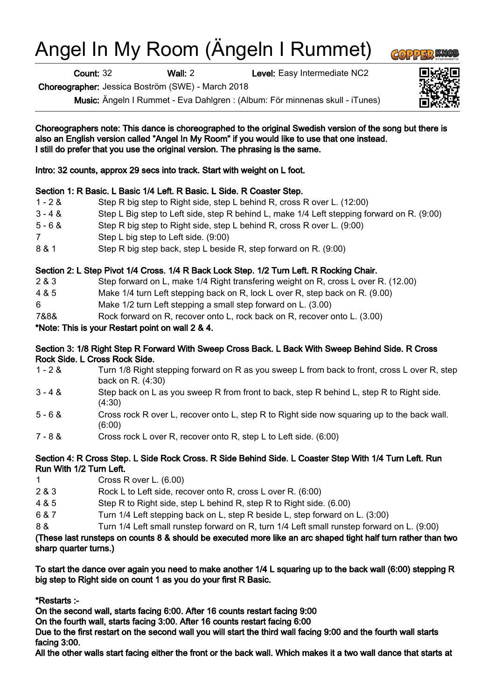# Angel In My Room (Ängeln I Rummet)

Count: 32 Wall: 2 Level: Easy Intermediate NC2

Choreographer: Jessica Boström (SWE) - March 2018

Music: Ängeln I Rummet - Eva Dahlgren : (Album: För minnenas skull - iTunes)

Choreographers note: This dance is choreographed to the original Swedish version of the song but there is also an English version called "Angel In My Room" if you would like to use that one instead. I still do prefer that you use the original version. The phrasing is the same.

Intro: 32 counts, approx 29 secs into track. Start with weight on L foot.

### Section 1: R Basic. L Basic 1/4 Left. R Basic. L Side. R Coaster Step.

1 - 2 & Step R big step to Right side, step L behind R, cross R over L. (12:00) 3 - 4 & Step L Big step to Left side, step R behind L, make 1/4 Left stepping forward on R. (9:00) 5 - 6 & Step R big step to Right side, step L behind R, cross R over L. (9:00) 7 Step L big step to Left side. (9:00) 8 & 1 Step R big step back, step L beside R, step forward on R. (9:00)

# Section 2: L Step Pivot 1/4 Cross. 1/4 R Back Lock Step. 1/2 Turn Left. R Rocking Chair.

- 2 & 3 Step forward on L, make 1/4 Right transfering weight on R, cross L over R. (12.00)
- 4 & 5 Make 1/4 turn Left stepping back on R, lock L over R, step back on R. (9.00)
- 6 Make 1/2 turn Left stepping a small step forward on L. (3.00)
- 7&8& Rock forward on R, recover onto L, rock back on R, recover onto L. (3.00)

# \*Note: This is your Restart point on wall 2 & 4.

### Section 3: 1/8 Right Step R Forward With Sweep Cross Back. L Back With Sweep Behind Side. R Cross Rock Side. L Cross Rock Side.

- 1 2 & Turn 1/8 Right stepping forward on R as you sweep L from back to front, cross L over R, step back on R. (4:30)
- 3 4 & Step back on L as you sweep R from front to back, step R behind L, step R to Right side. (4:30)
- 5 6 & Cross rock R over L, recover onto L, step R to Right side now squaring up to the back wall. (6:00)
- 7 8 & Cross rock L over R, recover onto R, step L to Left side. (6:00)

#### Section 4: R Cross Step. L Side Rock Cross. R Side Behind Side. L Coaster Step With 1/4 Turn Left. Run Run With 1/2 Turn Left.

- 1 Cross R over L. (6.00)
- 2 & 3 Rock L to Left side, recover onto R, cross L over R. (6:00)
- 4 & 5 Step R to Right side, step L behind R, step R to Right side. (6.00)
- 6 & 7 Turn 1/4 Left stepping back on L, step R beside L, step forward on L. (3:00)
- 8 & Turn 1/4 Left small runstep forward on R, turn 1/4 Left small runstep forward on L. (9:00)

(These last runsteps on counts 8 & should be executed more like an arc shaped tight half turn rather than two sharp quarter turns.)

To start the dance over again you need to make another 1/4 L squaring up to the back wall (6:00) stepping R big step to Right side on count 1 as you do your first R Basic.

\*Restarts :-

On the second wall, starts facing 6:00. After 16 counts restart facing 9:00

On the fourth wall, starts facing 3:00. After 16 counts restart facing 6:00

Due to the first restart on the second wall you will start the third wall facing 9:00 and the fourth wall starts facing 3:00.

All the other walls start facing either the front or the back wall. Which makes it a two wall dance that starts at